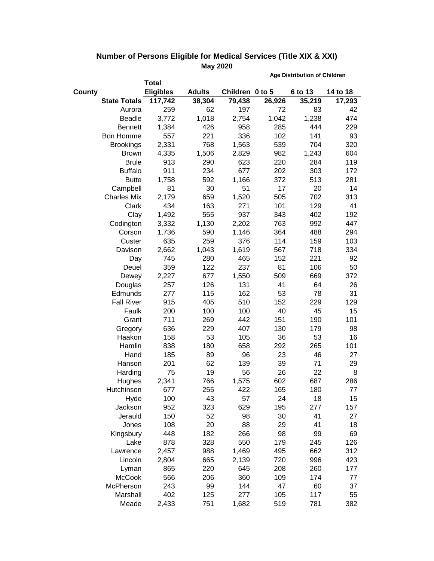|                     |                  |               | <b>Age Distribution of Children</b> |        |         |          |
|---------------------|------------------|---------------|-------------------------------------|--------|---------|----------|
|                     | <b>Total</b>     |               |                                     |        |         |          |
| County              | <b>Eligibles</b> | <b>Adults</b> | Children 0 to 5                     |        | 6 to 13 | 14 to 18 |
| <b>State Totals</b> | 117,742          | 38,304        | 79,438                              | 26,926 | 35,219  | 17,293   |
| Aurora              | 259              | 62            | 197                                 | 72     | 83      | 42       |
| <b>Beadle</b>       | 3,772            | 1,018         | 2,754                               | 1,042  | 1,238   | 474      |
| <b>Bennett</b>      | 1,384            | 426           | 958                                 | 285    | 444     | 229      |
| Bon Homme           | 557              | 221           | 336                                 | 102    | 141     | 93       |
| <b>Brookings</b>    | 2,331            | 768           | 1,563                               | 539    | 704     | 320      |
| <b>Brown</b>        | 4,335            | 1,506         | 2,829                               | 982    | 1,243   | 604      |
| <b>Brule</b>        | 913              | 290           | 623                                 | 220    | 284     | 119      |
| <b>Buffalo</b>      | 911              | 234           | 677                                 | 202    | 303     | 172      |
| <b>Butte</b>        | 1,758            | 592           | 1,166                               | 372    | 513     | 281      |
| Campbell            | 81               | 30            | 51                                  | 17     | 20      | 14       |
| <b>Charles Mix</b>  | 2,179            | 659           | 1,520                               | 505    | 702     | 313      |
| Clark               | 434              | 163           | 271                                 | 101    | 129     | 41       |
| Clay                | 1,492            | 555           | 937                                 | 343    | 402     | 192      |
| Codington           | 3,332            | 1,130         | 2,202                               | 763    | 992     | 447      |
| Corson              | 1,736            | 590           | 1,146                               | 364    | 488     | 294      |
| Custer              | 635              | 259           | 376                                 | 114    | 159     | 103      |
| Davison             | 2,662            | 1,043         | 1,619                               | 567    | 718     | 334      |
| Day                 | 745              | 280           | 465                                 | 152    | 221     | 92       |
| Deuel               | 359              | 122           | 237                                 | 81     | 106     | 50       |
| Dewey               | 2,227            | 677           | 1,550                               | 509    | 669     | 372      |
| Douglas             | 257              | 126           | 131                                 | 41     | 64      | 26       |
| Edmunds             | 277              | 115           | 162                                 | 53     | 78      | 31       |
| <b>Fall River</b>   | 915              | 405           | 510                                 | 152    | 229     | 129      |
| Faulk               | 200              | 100           | 100                                 | 40     | 45      | 15       |
| Grant               | 711              | 269           | 442                                 | 151    | 190     | 101      |
| Gregory             | 636              | 229           | 407                                 | 130    | 179     | 98       |
| Haakon              | 158              | 53            | 105                                 | 36     | 53      | 16       |
| Hamlin              | 838              | 180           | 658                                 | 292    | 265     | 101      |
| Hand                | 185              | 89            | 96                                  | 23     | 46      | 27       |
| Hanson              | 201              | 62            | 139                                 | 39     | 71      | 29       |
| Harding             | 75               | 19            | 56                                  | 26     | 22      | 8        |
| Hughes              | 2,341            | 766           | 1,575                               | 602    | 687     | 286      |
| Hutchinson          | 677              | 255           | 422                                 | 165    | 180     | 77       |
| Hyde                | 100              | 43            | 57                                  | 24     | 18      | 15       |
| Jackson             | 952              | 323           | 629                                 | 195    | 277     | 157      |
| Jerauld             | 150              | 52            | 98                                  | 30     | 41      | 27       |
| Jones               | 108              | 20            | 88                                  | 29     | 41      | 18       |
| Kingsbury           | 448              | 182           | 266                                 | 98     | 99      | 69       |
| Lake                | 878              | 328           | 550                                 | 179    | 245     | 126      |
| Lawrence            | 2,457            | 988           | 1,469                               | 495    | 662     | 312      |
| Lincoln             | 2,804            | 665           | 2,139                               | 720    | 996     | 423      |
| Lyman               | 865              | 220           | 645                                 | 208    | 260     | 177      |
| <b>McCook</b>       | 566              | 206           | 360                                 | 109    | 174     | 77       |
| McPherson           | 243              | 99            | 144                                 | 47     | 60      | 37       |
| Marshall            | 402              | 125           | 277                                 | 105    | 117     | 55       |
| Meade               | 2,433            | 751           | 1,682                               | 519    | 781     | 382      |

## **Number of Persons Eligible for Medical Services (Title XIX & XXI) May 2020**